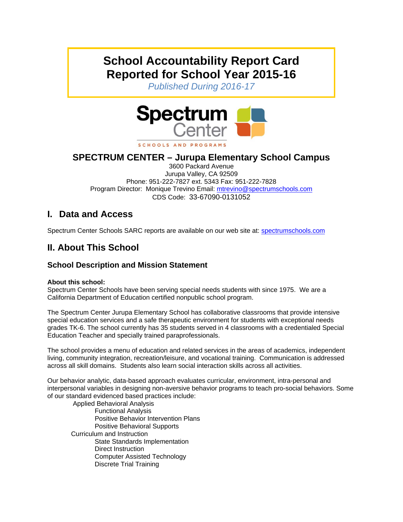# **School Accountability Report Card Reported for School Year 2015-16**

*Published During 2016-17* 



# **SPECTRUM CENTER – Jurupa Elementary School Campus**

3600 Packard Avenue Jurupa Valley, CA 92509 Phone: 951-222-7827 ext. 5343 Fax: 951-222-7828 Program Director: Monique Trevino Email: mtrevino@spectrumschools.com CDS Code: 33-67090-0131052

# **I. Data and Access**

Spectrum Center Schools SARC reports are available on our web site at: spectrumschools.com

# **II. About This School**

### **School Description and Mission Statement**

#### **About this school:**

Spectrum Center Schools have been serving special needs students with since 1975. We are a California Department of Education certified nonpublic school program.

The Spectrum Center Jurupa Elementary School has collaborative classrooms that provide intensive special education services and a safe therapeutic environment for students with exceptional needs grades TK-6. The school currently has 35 students served in 4 classrooms with a credentialed Special Education Teacher and specially trained paraprofessionals.

The school provides a menu of education and related services in the areas of academics, independent living, community integration, recreation/leisure, and vocational training. Communication is addressed across all skill domains. Students also learn social interaction skills across all activities.

Our behavior analytic, data-based approach evaluates curricular, environment, intra-personal and interpersonal variables in designing non-aversive behavior programs to teach pro-social behaviors. Some of our standard evidenced based practices include:

 Applied Behavioral Analysis Functional Analysis Positive Behavior Intervention Plans Positive Behavioral Supports Curriculum and Instruction State Standards Implementation Direct Instruction Computer Assisted Technology Discrete Trial Training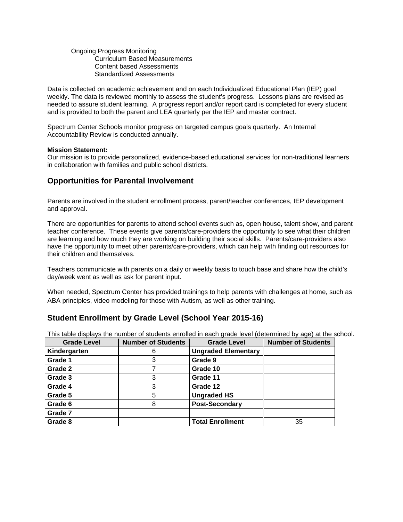#### Ongoing Progress Monitoring Curriculum Based Measurements Content based Assessments Standardized Assessments

Data is collected on academic achievement and on each Individualized Educational Plan (IEP) goal weekly. The data is reviewed monthly to assess the student's progress. Lessons plans are revised as needed to assure student learning. A progress report and/or report card is completed for every student and is provided to both the parent and LEA quarterly per the IEP and master contract.

Spectrum Center Schools monitor progress on targeted campus goals quarterly. An Internal Accountability Review is conducted annually.

#### **Mission Statement:**

Our mission is to provide personalized, evidence-based educational services for non-traditional learners in collaboration with families and public school districts.

### **Opportunities for Parental Involvement**

Parents are involved in the student enrollment process, parent/teacher conferences, IEP development and approval.

There are opportunities for parents to attend school events such as, open house, talent show, and parent teacher conference. These events give parents/care-providers the opportunity to see what their children are learning and how much they are working on building their social skills. Parents/care-providers also have the opportunity to meet other parents/care-providers, which can help with finding out resources for their children and themselves.

Teachers communicate with parents on a daily or weekly basis to touch base and share how the child's day/week went as well as ask for parent input.

When needed, Spectrum Center has provided trainings to help parents with challenges at home, such as ABA principles, video modeling for those with Autism, as well as other training.

### **Student Enrollment by Grade Level (School Year 2015-16)**

| <b>Grade Level</b> | <b>Number of Students</b> | <b>Grade Level</b>         | <b>Number of Students</b> |
|--------------------|---------------------------|----------------------------|---------------------------|
| Kindergarten       | 6                         | <b>Ungraded Elementary</b> |                           |
| Grade 1            | 3                         | Grade 9                    |                           |
| Grade 2            |                           | Grade 10                   |                           |
| Grade 3            |                           | Grade 11                   |                           |
| Grade 4            |                           | Grade 12                   |                           |
| Grade 5            | 5                         | <b>Ungraded HS</b>         |                           |
| Grade 6            | 8                         | <b>Post-Secondary</b>      |                           |
| Grade 7            |                           |                            |                           |
| Grade 8            |                           | <b>Total Enrollment</b>    | 35                        |

This table displays the number of students enrolled in each grade level (determined by age) at the school.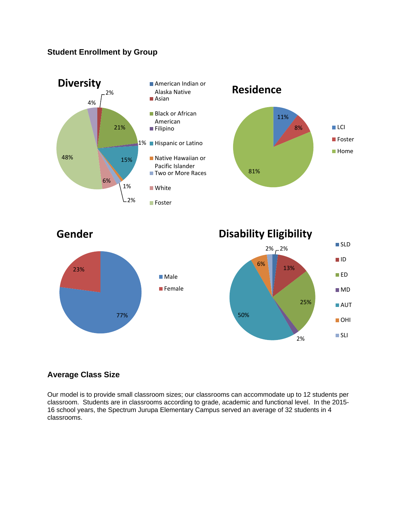# **Student Enrollment by Group**







### **Average Class Size**

Our model is to provide small classroom sizes; our classrooms can accommodate up to 12 students per classroom. Students are in classrooms according to grade, academic and functional level. In the 2015- 16 school years, the Spectrum Jurupa Elementary Campus served an average of 32 students in 4 classrooms.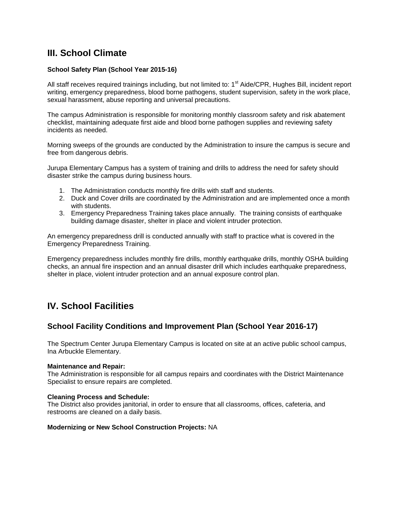# **III. School Climate**

#### **School Safety Plan (School Year 2015-16)**

All staff receives required trainings including, but not limited to: 1<sup>st</sup> Aide/CPR, Hughes Bill, incident report writing, emergency preparedness, blood borne pathogens, student supervision, safety in the work place, sexual harassment, abuse reporting and universal precautions.

The campus Administration is responsible for monitoring monthly classroom safety and risk abatement checklist, maintaining adequate first aide and blood borne pathogen supplies and reviewing safety incidents as needed.

Morning sweeps of the grounds are conducted by the Administration to insure the campus is secure and free from dangerous debris.

Jurupa Elementary Campus has a system of training and drills to address the need for safety should disaster strike the campus during business hours.

- 1. The Administration conducts monthly fire drills with staff and students.
- 2. Duck and Cover drills are coordinated by the Administration and are implemented once a month with students.
- 3. Emergency Preparedness Training takes place annually. The training consists of earthquake building damage disaster, shelter in place and violent intruder protection.

An emergency preparedness drill is conducted annually with staff to practice what is covered in the Emergency Preparedness Training.

Emergency preparedness includes monthly fire drills, monthly earthquake drills, monthly OSHA building checks, an annual fire inspection and an annual disaster drill which includes earthquake preparedness, shelter in place, violent intruder protection and an annual exposure control plan.

# **IV. School Facilities**

### **School Facility Conditions and Improvement Plan (School Year 2016-17)**

The Spectrum Center Jurupa Elementary Campus is located on site at an active public school campus, Ina Arbuckle Elementary.

#### **Maintenance and Repair:**

The Administration is responsible for all campus repairs and coordinates with the District Maintenance Specialist to ensure repairs are completed.

#### **Cleaning Process and Schedule:**

The District also provides janitorial, in order to ensure that all classrooms, offices, cafeteria, and restrooms are cleaned on a daily basis.

#### **Modernizing or New School Construction Projects:** NA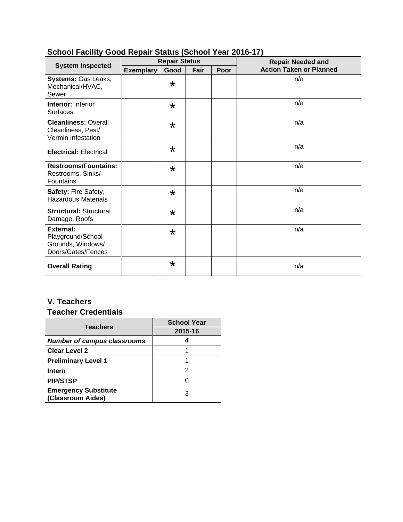|                                                                                  | <b>Repair Status</b> |         |      |      | <b>Repair Needed and</b>       |  |
|----------------------------------------------------------------------------------|----------------------|---------|------|------|--------------------------------|--|
| <b>System Inspected</b>                                                          | <b>Exemplary</b>     | Good    | Fair | Poor | <b>Action Taken or Planned</b> |  |
| Systems: Gas Leaks,<br>Mechanical/HVAC,<br>Sewer                                 |                      | $\star$ |      |      | n/a                            |  |
| <b>Interior: Interior</b><br><b>Surfaces</b>                                     |                      | $\star$ |      |      | n/a                            |  |
| <b>Cleanliness: Overall</b><br>Cleanliness, Pest/<br>Vermin Infestation          |                      | $\star$ |      |      | n/a                            |  |
| <b>Electrical: Electrical</b>                                                    |                      | $\star$ |      |      | n/a                            |  |
| <b>Restrooms/Fountains:</b><br>Restrooms, Sinks/<br>Fountains                    |                      | $\star$ |      |      | n/a                            |  |
| Safety: Fire Safety,<br><b>Hazardous Materials</b>                               |                      | $\star$ |      |      | n/a                            |  |
| <b>Structural: Structural</b><br>Damage, Roofs                                   |                      | $\star$ |      |      | n/a                            |  |
| <b>External:</b><br>Playground/School<br>Grounds, Windows/<br>Doors/Gates/Fences |                      | $\star$ |      |      | n/a                            |  |
| <b>Overall Rating</b>                                                            |                      | $\star$ |      |      | n/a                            |  |

# **School Facility Good Repair Status (School Year 2016-17)**

# **V. Teachers**

# **Teacher Credentials**

| <b>Teachers</b>                                  | <b>School Year</b> |  |  |
|--------------------------------------------------|--------------------|--|--|
|                                                  | 2015-16            |  |  |
| <b>Number of campus classrooms</b>               |                    |  |  |
| <b>Clear Level 2</b>                             |                    |  |  |
| <b>Preliminary Level 1</b>                       |                    |  |  |
| <b>Intern</b>                                    | 2                  |  |  |
| <b>PIP/STSP</b>                                  |                    |  |  |
| <b>Emergency Substitute</b><br>(Classroom Aides) | 3                  |  |  |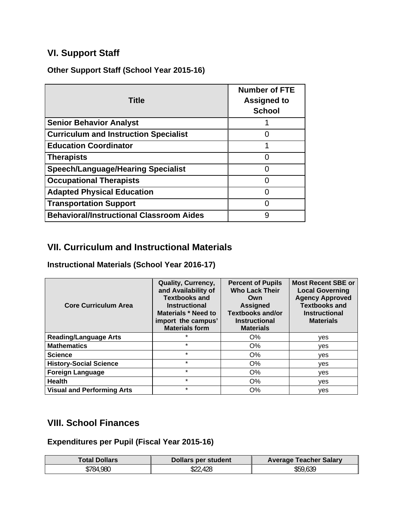# **VI. Support Staff**

**Other Support Staff (School Year 2015-16)** 

| <b>Title</b>                                    | <b>Number of FTE</b><br><b>Assigned to</b><br><b>School</b> |
|-------------------------------------------------|-------------------------------------------------------------|
| <b>Senior Behavior Analyst</b>                  |                                                             |
| <b>Curriculum and Instruction Specialist</b>    |                                                             |
| <b>Education Coordinator</b>                    |                                                             |
| <b>Therapists</b>                               | 0                                                           |
| <b>Speech/Language/Hearing Specialist</b>       | O                                                           |
| <b>Occupational Therapists</b>                  | O                                                           |
| <b>Adapted Physical Education</b>               |                                                             |
| <b>Transportation Support</b>                   |                                                             |
| <b>Behavioral/Instructional Classroom Aides</b> | 9                                                           |

# **VII. Curriculum and Instructional Materials**

**Instructional Materials (School Year 2016-17)** 

| <b>Core Curriculum Area</b>       | <b>Quality, Currency,</b><br>and Availability of<br><b>Textbooks and</b><br><b>Instructional</b><br><b>Materials * Need to</b><br>import the campus'<br><b>Materials form</b> | <b>Percent of Pupils</b><br><b>Who Lack Their</b><br>Own<br><b>Assigned</b><br><b>Textbooks and/or</b><br><b>Instructional</b><br><b>Materials</b> | <b>Most Recent SBE or</b><br><b>Local Governing</b><br><b>Agency Approved</b><br><b>Textbooks and</b><br><b>Instructional</b><br><b>Materials</b> |
|-----------------------------------|-------------------------------------------------------------------------------------------------------------------------------------------------------------------------------|----------------------------------------------------------------------------------------------------------------------------------------------------|---------------------------------------------------------------------------------------------------------------------------------------------------|
| <b>Reading/Language Arts</b>      | $\star$                                                                                                                                                                       | $O\%$                                                                                                                                              | yes                                                                                                                                               |
| <b>Mathematics</b>                | $\star$                                                                                                                                                                       | $O\%$                                                                                                                                              | ves                                                                                                                                               |
| <b>Science</b>                    | $\star$                                                                                                                                                                       | O%                                                                                                                                                 | ves                                                                                                                                               |
| <b>History-Social Science</b>     | $\star$                                                                                                                                                                       | O%                                                                                                                                                 | ves                                                                                                                                               |
| <b>Foreign Language</b>           | $\star$                                                                                                                                                                       | O%                                                                                                                                                 | yes                                                                                                                                               |
| <b>Health</b>                     | $\star$                                                                                                                                                                       | O%                                                                                                                                                 | ves                                                                                                                                               |
| <b>Visual and Performing Arts</b> | $\star$                                                                                                                                                                       | O%                                                                                                                                                 | yes                                                                                                                                               |

# **VIII. School Finances**

**Expenditures per Pupil (Fiscal Year 2015-16)** 

| <b>Total Dollars</b> | Dollars per student | <b>Average Teacher Salary</b> |
|----------------------|---------------------|-------------------------------|
| \$784,980            | ,428<br>$J_{LL}$    | \$59,639                      |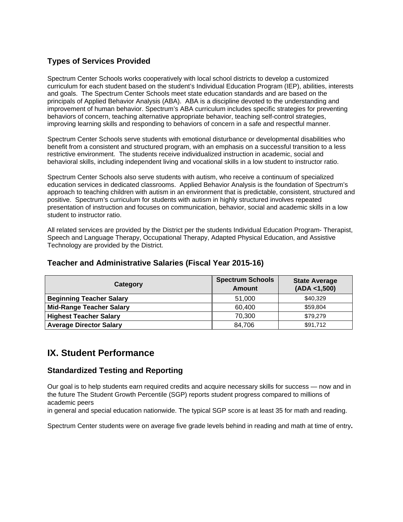# **Types of Services Provided**

Spectrum Center Schools works cooperatively with local school districts to develop a customized curriculum for each student based on the student's Individual Education Program (IEP), abilities, interests and goals. The Spectrum Center Schools meet state education standards and are based on the principals of Applied Behavior Analysis (ABA). ABA is a discipline devoted to the understanding and improvement of human behavior. Spectrum's ABA curriculum includes specific strategies for preventing behaviors of concern, teaching alternative appropriate behavior, teaching self-control strategies, improving learning skills and responding to behaviors of concern in a safe and respectful manner.

Spectrum Center Schools serve students with emotional disturbance or developmental disabilities who benefit from a consistent and structured program, with an emphasis on a successful transition to a less restrictive environment. The students receive individualized instruction in academic, social and behavioral skills, including independent living and vocational skills in a low student to instructor ratio.

Spectrum Center Schools also serve students with autism, who receive a continuum of specialized education services in dedicated classrooms. Applied Behavior Analysis is the foundation of Spectrum's approach to teaching children with autism in an environment that is predictable, consistent, structured and positive. Spectrum's curriculum for students with autism in highly structured involves repeated presentation of instruction and focuses on communication, behavior, social and academic skills in a low student to instructor ratio.

All related services are provided by the District per the students Individual Education Program- Therapist, Speech and Language Therapy, Occupational Therapy, Adapted Physical Education, and Assistive Technology are provided by the District.

| Category                        | <b>Spectrum Schools</b><br><b>Amount</b> | <b>State Average</b><br>(ADA < 1,500) |  |
|---------------------------------|------------------------------------------|---------------------------------------|--|
| <b>Beginning Teacher Salary</b> | 51,000                                   | \$40.329                              |  |
| <b>Mid-Range Teacher Salary</b> | 60,400                                   | \$59.804                              |  |
| <b>Highest Teacher Salary</b>   | 70,300                                   | \$79,279                              |  |
| <b>Average Director Salary</b>  | 84.706                                   | \$91,712                              |  |

## **Teacher and Administrative Salaries (Fiscal Year 2015-16)**

# **IX. Student Performance**

### **Standardized Testing and Reporting**

Our goal is to help students earn required credits and acquire necessary skills for success — now and in the future The Student Growth Percentile (SGP) reports student progress compared to millions of academic peers

in general and special education nationwide. The typical SGP score is at least 35 for math and reading.

Spectrum Center students were on average five grade levels behind in reading and math at time of entry**.**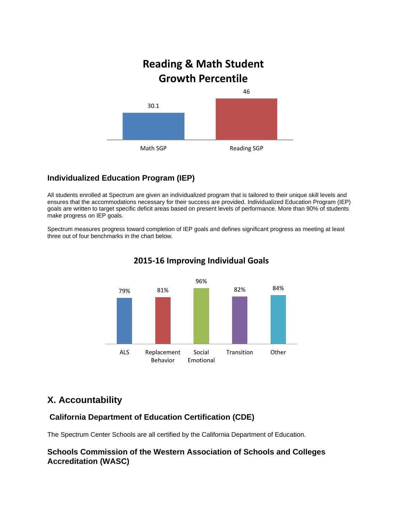

## **Individualized Education Program (IEP)**

All students enrolled at Spectrum are given an individualized program that is tailored to their unique skill levels and ensures that the accommodations necessary for their success are provided. Individualized Education Program (IEP) goals are written to target specific deficit areas based on present levels of performance. More than 90% of students make progress on IEP goals.

Spectrum measures progress toward completion of IEP goals and defines significant progress as meeting at least three out of four benchmarks in the chart below.



# **2015‐16 Improving Individual Goals**

# **X. Accountability**

## **California Department of Education Certification (CDE)**

The Spectrum Center Schools are all certified by the California Department of Education.

### **Schools Commission of the Western Association of Schools and Colleges Accreditation (WASC)**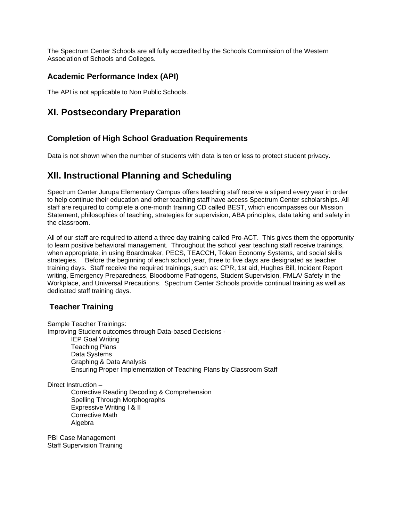The Spectrum Center Schools are all fully accredited by the Schools Commission of the Western Association of Schools and Colleges.

### **Academic Performance Index (API)**

The API is not applicable to Non Public Schools.

# **XI. Postsecondary Preparation**

### **Completion of High School Graduation Requirements**

Data is not shown when the number of students with data is ten or less to protect student privacy.

# **XII. Instructional Planning and Scheduling**

Spectrum Center Jurupa Elementary Campus offers teaching staff receive a stipend every year in order to help continue their education and other teaching staff have access Spectrum Center scholarships. All staff are required to complete a one-month training CD called BEST, which encompasses our Mission Statement, philosophies of teaching, strategies for supervision, ABA principles, data taking and safety in the classroom.

All of our staff are required to attend a three day training called Pro-ACT. This gives them the opportunity to learn positive behavioral management. Throughout the school year teaching staff receive trainings, when appropriate, in using Boardmaker, PECS, TEACCH, Token Economy Systems, and social skills strategies. Before the beginning of each school year, three to five days are designated as teacher training days. Staff receive the required trainings, such as: CPR, 1st aid, Hughes Bill, Incident Report writing, Emergency Preparedness, Bloodborne Pathogens, Student Supervision, FMLA/ Safety in the Workplace, and Universal Precautions. Spectrum Center Schools provide continual training as well as dedicated staff training days.

### **Teacher Training**

Sample Teacher Trainings: Improving Student outcomes through Data-based Decisions - IEP Goal Writing Teaching Plans Data Systems Graphing & Data Analysis Ensuring Proper Implementation of Teaching Plans by Classroom Staff

Direct Instruction –

Corrective Reading Decoding & Comprehension Spelling Through Morphographs Expressive Writing | & II Corrective Math Algebra

PBI Case Management Staff Supervision Training